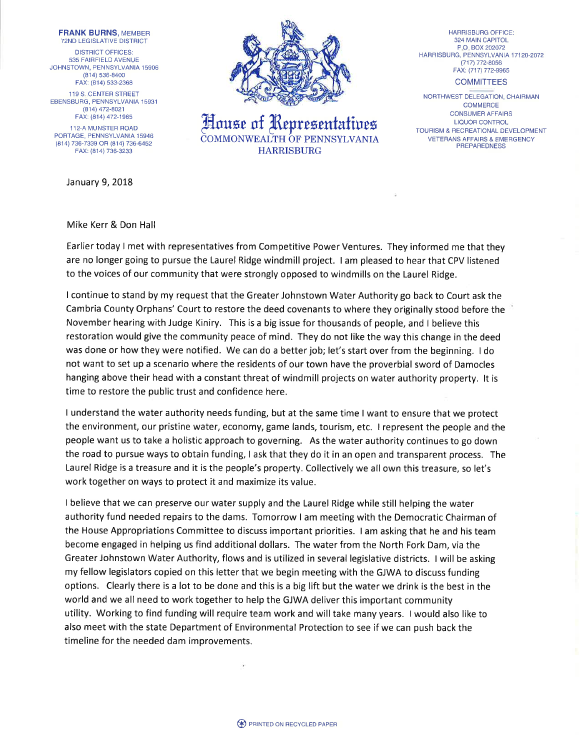FRANK BURNS, MEMBER 72ND LEGISLATIVE DISTRICT DISTRICT OFFICES: 535 FAIRFIELD AVENUE JOHNSTOWN, PENNSYLVANIA 15906 (814) 536-8400 FAX: (814) 533-2368 119 S, CENTER STREET EBENSBURG, PENNSYLVANIA 15931

(814], 472-8021 FAX: (814) 472-1965 112-A MUNSTER ROAD

PORTAGE, PENNSYLVANIA 15946 (814) 736-7339 OR (814) 736-6452 FAX: (814) 736-3233

January 9, 2018



House of Representatives HARRISBURG

HARRISBURG OFFICE: 324 MAIN CAPITOL P.O.BOX202072 HARRISBURG, PENNSYLVANIA 17120-2072 (717) 772-8056 FAX: (717) 772-9965

**COMMITTEES** 

NORTHWEST DELEGATION, CHAIRMAN **COMMERCE** CONSUMER AFFAIRS LIQUOR CONTROL TOURISM & RECREATIONAL DEVELOPMENT VETERANS AFFAIRS & EMERGENCY **PREPAREDNESS** 

## Mike Kerr & Don Hall

Earlier today I met with representatives from Competitive Power Ventures. They informed me that they are no longer going to pursue the Laurel Ridge windmill project. I am pleased to hear that CPV listened to the voices of our community that were strongly opposed to windmills on the Laurel Ridge.

<sup>I</sup>continue to stand by my request that the Greater Johnstown Water Authority go back to Court ask the Cambria County Orphans' Court to restore the deed covenants to where they originally stood before the November hearing with Judge Kiniry. This is a big issue for thousands of people, and I believe this restoration would give the community peace of mind. They do not like the way this change in the deed was done or how they were notified. We can do a better job; let's start over from the beginning. I do not want to set up a scenario where the residents of our town have the proverbial sword of Damocles hanging above their head with a constant threat of windmill projects on water authority property. lt is time to restore the public trust and confidence here.

I understand the water authority needs funding, but at the same time I want to ensure that we protect the environment, our pristine water, economy, game lands, tourism, etc. I represent the people and the people want us to take a holistic approach to governing. As the water authority continues to go down the road to pursue ways to obtain funding, I ask that they do it in an open and transparent process. The Laurel Ridge is a treasure and it is the people's property. Collectively we all own this treasure, so let's work together on ways to protect it and maximize its value.

I believe that we can preserve our water supply and the Laurel Ridge while still helping the water authority fund needed repairs to the dams. Tomorrow I am meeting with the Democratic Chairman of the House Appropriations Committee to discuss important priorities. I am asking that he and his team become engaged in helping us find additional dollars. The water from the North Fork Dam, via the Greater Johnstown Water Authority, flows and is utilized in several legislative districts. I will be asking my fellow legislators copied on this letter that we begin meeting with the GJWA to discuss funding options, Clearly there is a lot to be done and this is a big lift but the water we drink is the best in the world and we all need to work together to help the GJWA deliver this important community utility. Working to find funding will require team work and will take many years. I would also like to also meet with the state Department of Environmental Protection to see if we can push back the timeline for the needed dam improvements.